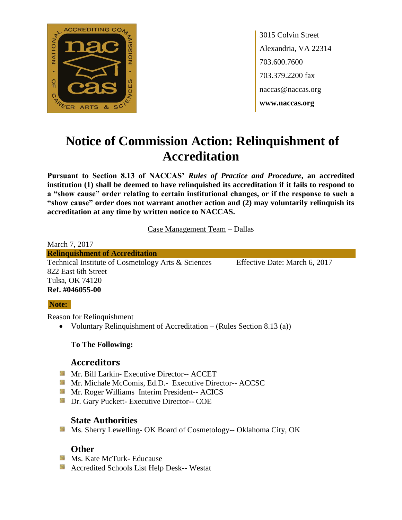

3015 Colvin Street Alexandria, VA 22314 703.600.7600 703.379.2200 fax naccas@naccas.org **www.naccas.org**

# **Notice of Commission Action: Relinquishment of Accreditation**

**Pursuant to Section 8.13 of NACCAS'** *Rules of Practice and Procedure***, an accredited institution (1) shall be deemed to have relinquished its accreditation if it fails to respond to a "show cause" order relating to certain institutional changes, or if the response to such a "show cause" order does not warrant another action and (2) may voluntarily relinquish its accreditation at any time by written notice to NACCAS.**

Case Management Team – Dallas

March 7, 2017 **Relinquishment of Accreditation** Technical Institute of Cosmetology Arts & Sciences Effective Date: March 6, 2017 822 East 6th Street Tulsa, OK 74120 **Ref. #046055-00**

### **Note:**

Reason for Relinquishment

• Voluntary Relinquishment of Accreditation – (Rules Section 8.13 (a))

### **To The Following:**

# **Accreditors**

- **Mr. Bill Larkin- Executive Director-- ACCET**
- **Mr. Michale McComis, Ed.D.- Executive Director-- ACCSC**
- **Mr. Roger Williams Interim President-- ACICS**
- **Dr.** Gary Puckett- Executive Director-- COE

# **State Authorities**

**Ms. Sherry Lewelling- OK Board of Cosmetology-- Oklahoma City, OK** 

# **Other**

- **Ms. Kate McTurk- Educause**
- Accredited Schools List Help Desk-- Westat